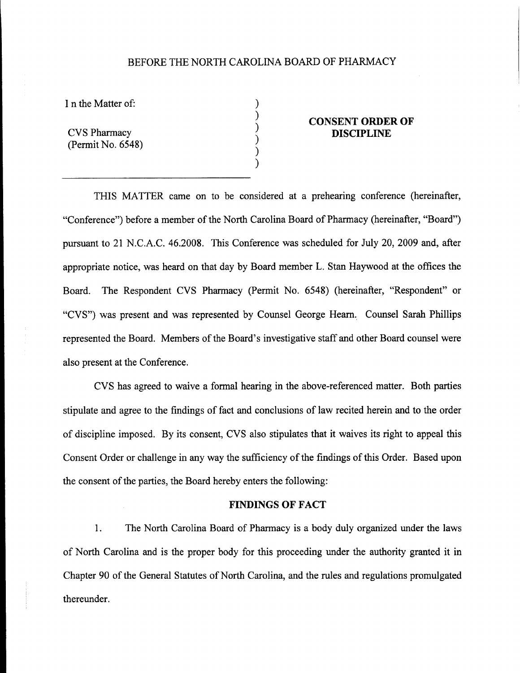# BEFORE THE NORTH CAROLINA BOARD OF PHARMACY

) ) ) ) ) )

I n the Matter of:

CVS Pharmacy (Permit No. 6548)

### **CONSENT ORDER OF DISCIPLINE**

THIS MATTER came on to be considered at a prehearing conference (hereinafter, "Conference") before a member of the North Carolina Board of Pharmacy (hereinafter, "Board") pursuant to 21 N.C.A.C. 46.2008. This Conference was scheduled for July 20, 2009 and, after appropriate notice, was heard on that day by Board member L. Stan Haywood at the offices the Board. The Respondent CVS Pharmacy (Permit No. 6548) (hereinafter, "Respondent" or "CVS") was present and was represented by Counsel George Hearn. Counsel Sarah Phillips represented the Board. Members of the Board's investigative staff and other Board counsel were also present at the Conference.

CVS has agreed to waive a formal hearing in the above-referenced matter. Both parties stipulate and agree to the findings of fact and conclusions of law recited herein and to the order of discipline imposed. By its consent, CVS also stipulates that it waives its right to appeal this Consent Order or challenge in any way the sufficiency of the findings of this Order. Based upon the consent of the parties, the Board hereby enters the following:

#### **FINDINGS OF FACT**

1. The North Carolina Board of Pharmacy is a body duly organized under the laws of North Carolina and is the proper body for this proceeding under the authority granted it in Chapter 90 of the General Statutes of North Carolina, and the rules and regulations promulgated thereunder.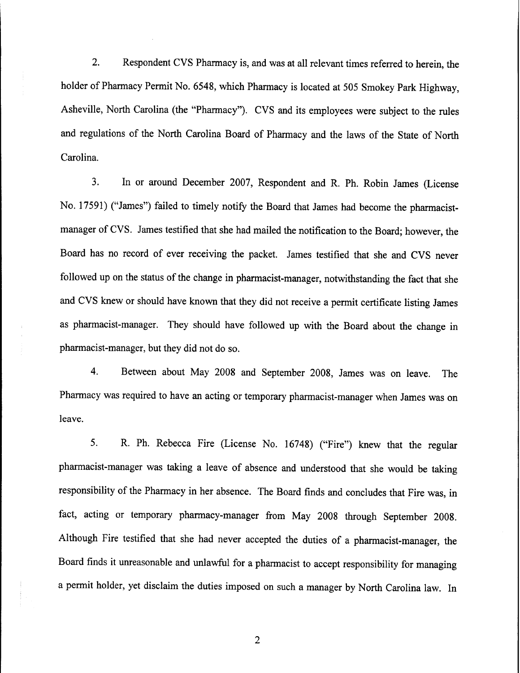2. Respondent CVS Pharmacy is, and was at all relevant times referred to herein, the holder of Pharmacy Permit No. 6548, which Pharmacy is located at 505 Smokey Park Highway, Asheville, North Carolina (the "Pharmacy"). CVS and its employees were subject to the rules and regulations of the North Carolina Board of Pharmacy and the laws of the State of North Carolina.

3. In or around December 2007, Respondent and R. Ph. Robin James (License No. 17591) ("James") failed to timely notify the Board that James had become the pharmacistmanager of CVS. James testified that she had mailed the notification to the Board; however, the Board has no record of ever receiving the packet. James testified that she and CVS never followed up on the status of the change in pharmacist-manager, notwithstanding the fact that she and CVS knew or should have known that they did not receive a permit certificate listing James as pharmacist-manager. They should have followed up with the Board about the change in pharmacist-manager, but they did not do so.

4. Between about May 2008 and September 2008, James was on leave. The Pharmacy was required to have an acting or temporary pharmacist-manager when James was on leave.

5. R. Ph. Rebecca Fire (License No. 16748) ("Fire") knew that the regular pharmacist-manager was taking a leave of absence and understood that she would be taking responsibility of the Pharmacy in her absence. The Board finds and concludes that Fire was, in fact, acting or temporary pharmacy-manager from May 2008 through September 2008. Although Fire testified that she had never accepted the duties of a pharmacist-manager, the Board finds it unreasonable and unlawful for a pharmacist to accept responsibility for managing a permit holder, yet disclaim the duties imposed on such a manager by North Carolina law. In

2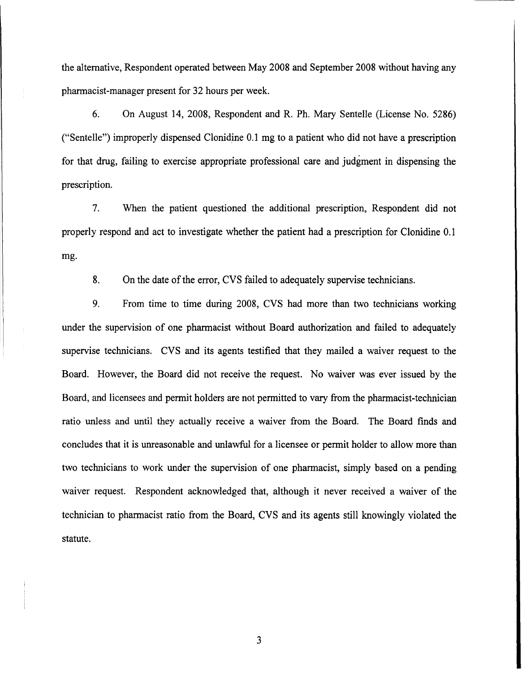the alternative, Respondent operated between May 2008 and September 2008 without having any pharmacist-manager present for 32 hours per week.

6. On August 14, 2008, Respondent and R. Ph. Mary Sentelle (License No. 5286) ("Sentelle") improperly dispensed Clonidine 0.1 mg to a patient who did not have a prescription for that drug, failing to exercise appropriate professional care and judgment in dispensing the prescription.

7. When the patient questioned the additional prescription, Respondent did not properly respond and act to investigate whether the patient had a prescription for Clonidine 0.1 mg.

8. On the date of the error, CVS failed to adequately supervise technicians.

9. From time to time during 2008, CVS had more than two technicians working under the supervision of one pharmacist without Board authorization and failed to adequately supervise technicians. CVS and its agents testified that they mailed a waiver request to the Board. However, the Board did not receive the request. No waiver was ever issued by the Board, and licensees and permit holders are not permitted to vary from the pharmacist-technician ratio unless and until they actually receive a waiver from the Board. The Board finds and concludes that it is unreasonable and unlawful for a licensee or permit holder to allow more than two technicians to work under the supervision of one pharmacist, simply based on a pending waiver request. Respondent acknowledged that, although it never received a waiver of the technician to pharmacist ratio from the Board, CVS and its agents still knowingly violated the statute.

3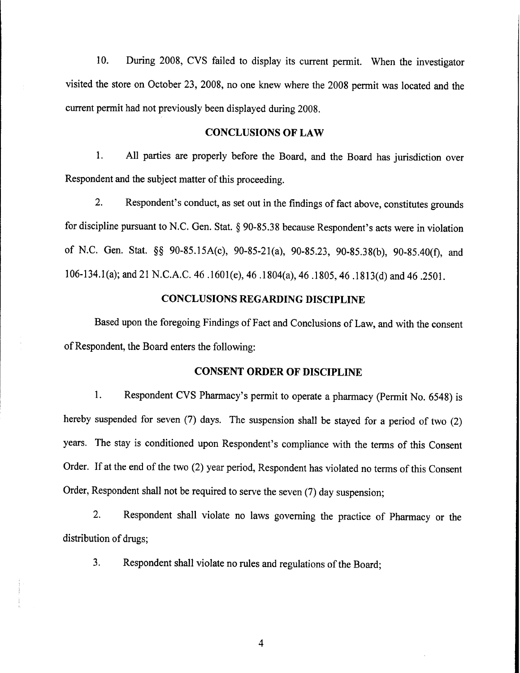10. During 2008, CVS failed to display its current permit. When the investigator visited the store on October 23, 2008, no one knew where the 2008 permit was located and the current permit had not previously been displayed during 2008.

#### **CONCLUSIONS OF LAW**

1. All parties are properly before the Board, and the Board has jurisdiction over Respondent and the subject matter of this proceeding.

2. Respondent's conduct, as set out in the findings of fact above, constitutes grounds for discipline pursuant to N.C. Gen. Stat. § 90-85.38 because Respondent's acts were in violation of N.C. Gen. Stat. §§ 90-85.15A(c), 90-85-21(a), 90-85.23, 90-85.38(b), 90-85.40(f), and 106-134.1 (a); and 21 N.C.A.C. 46 .1601(e), 46 .1804(a), 46.1805,46 .1813(d) and 46.2501.

# **CONCLUSIONS REGARDING DISCIPLINE**

Based upon the foregoing Findings of Fact and Conclusions of Law, and with the consent ofRespondent, the Board enters the following:

### **CONSENT ORDER OF DISCIPLINE**

1. Respondent CVS Pharmacy's permit to operate a pharmacy (Permit No. 6548) is hereby suspended for seven (7) days. The suspension shall be stayed for a period of two (2) years. The stay is conditioned upon Respondent's compliance with the terms of this Consent Order. If at the end of the two (2) year period, Respondent has violated no terms of this Consent Order, Respondent shall not be required to serve the seven (7) day suspension;

2. Respondent shall violate no laws governing the practice of Pharmacy or the distribution of drugs;

3. Respondent shall violate no rules and regulations of the Board;

4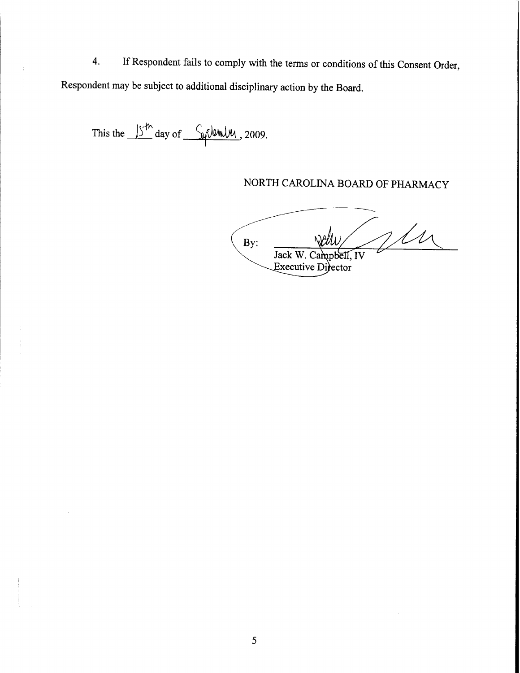4. If Respondent fails to comply with the terms or conditions of this Consent Order, Respondent may be subject to additional disciplinary action by the Board.

This the  $15<sup>th</sup>$  day of  $5<sup>th</sup>$  dumly, 2009.

NORTH CAROLINA BOARD OF PHARMACY

VM By: Jack W. Campbell, IV Executive Difector